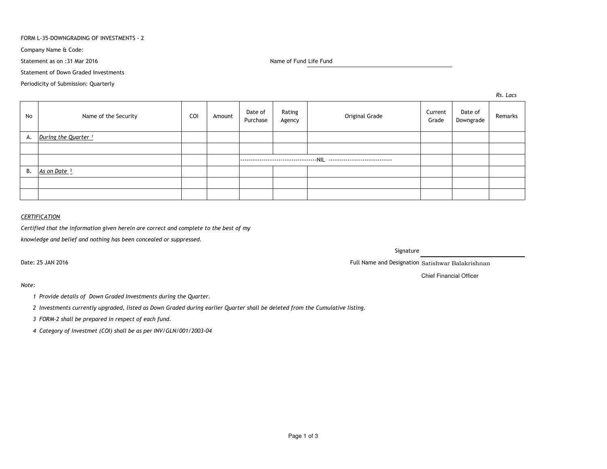## FORM L-35-DOWNGRADING OF INVESTMENTS - 2

Company Name & Code:

Statement as on :31 Mar 2016

Name of Fund Life Fund

Statement of Down Graded Investments

Periodicity of Submission: Quarterly

*Rs. Lacs*

| No | Name of the Security            | COI | Amount | Date of<br>Purchase | Rating<br>Agency | Original Grade | Current<br>Grade | Date of<br>Downgrade | Remarks |
|----|---------------------------------|-----|--------|---------------------|------------------|----------------|------------------|----------------------|---------|
| А. | During the Quarter <sup>1</sup> |     |        |                     |                  |                |                  |                      |         |
|    |                                 |     |        |                     |                  |                |                  |                      |         |
|    |                                 |     |        |                     |                  |                |                  |                      |         |
| В. | As on Date <sup>2</sup>         |     |        |                     |                  |                |                  |                      |         |
|    |                                 |     |        |                     |                  |                |                  |                      |         |
|    |                                 |     |        |                     |                  |                |                  |                      |         |

## *CERTIFICATION*

*Certified that the information given herein are correct and complete to the best of my*

*knowledge and belief and nothing has been concealed or suppressed.*

Date: 25 JAN 2016

Signature

Full Name and Designation Satishwar Balakrishnan

Chief Financial Officer

*Note:*

*<sup>1</sup> Provide details of Down Graded Investments during the Quarter.* 

*<sup>2</sup> Investments currently upgraded, listed as Down Graded during earlier Quarter shall be deleted from the Cumulative listing.*

*<sup>3</sup> FORM-2 shall be prepared in respect of each fund.*

*<sup>4</sup> Category of Investmet (COI) shall be as per INV/GLN/001/2003-04*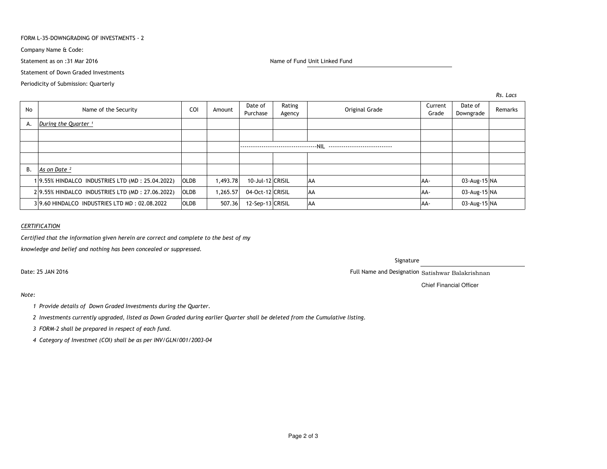## FORM L-35-DOWNGRADING OF INVESTMENTS - 2

Company Name & Code:

Statement as on :31 Mar 2016

Name of Fund Unit Linked Fund

Statement of Down Graded Investments

Periodicity of Submission: Quarterly

*Rs. Lacs*

| No | Name of the Security                            | <b>COI</b>  | Amount   | Date of<br>Rating<br>Purchase<br>Agency | Original Grade | Current<br>Grade | Date of<br>Downgrade | Remarks |
|----|-------------------------------------------------|-------------|----------|-----------------------------------------|----------------|------------------|----------------------|---------|
| А. | During the Quarter <sup>1</sup>                 |             |          |                                         |                |                  |                      |         |
|    |                                                 |             |          |                                         |                |                  |                      |         |
|    |                                                 |             |          |                                         |                |                  |                      |         |
|    |                                                 |             |          |                                         |                |                  |                      |         |
| В. | As on Date <sup>2</sup>                         |             |          |                                         |                |                  |                      |         |
|    | 19.55% HINDALCO INDUSTRIES LTD (MD: 25.04.2022) | <b>OLDB</b> | 1.493.78 | 10-Jul-12 CRISIL                        | <b>AA</b>      | AA-              | 03-Aug-15 NA         |         |
|    | 29.55% HINDALCO INDUSTRIES LTD (MD: 27.06.2022) | <b>OLDB</b> | 1,265.57 | 04-Oct-12 CRISIL                        | <b>AA</b>      | AA-              | 03-Aug-15 NA         |         |
|    | 39.60 HINDALCO INDUSTRIES LTD MD: 02.08.2022    | <b>OLDB</b> | 507.36   | 12-Sep-13 CRISIL                        | <b>AA</b>      | AA-              | 03-Aug-15 NA         |         |

## *CERTIFICATION*

*Certified that the information given herein are correct and complete to the best of my*

*knowledge and belief and nothing has been concealed or suppressed.*

Date: 25 JAN 2016

## Signature

Full Name and Designation Satishwar Balakrishnan

Chief Financial Officer

# *Note:*

- *<sup>1</sup> Provide details of Down Graded Investments during the Quarter.*
- *<sup>2</sup> Investments currently upgraded, listed as Down Graded during earlier Quarter shall be deleted from the Cumulative listing.*
- *<sup>3</sup> FORM-2 shall be prepared in respect of each fund.*
- *<sup>4</sup> Category of Investmet (COI) shall be as per INV/GLN/001/2003-04*